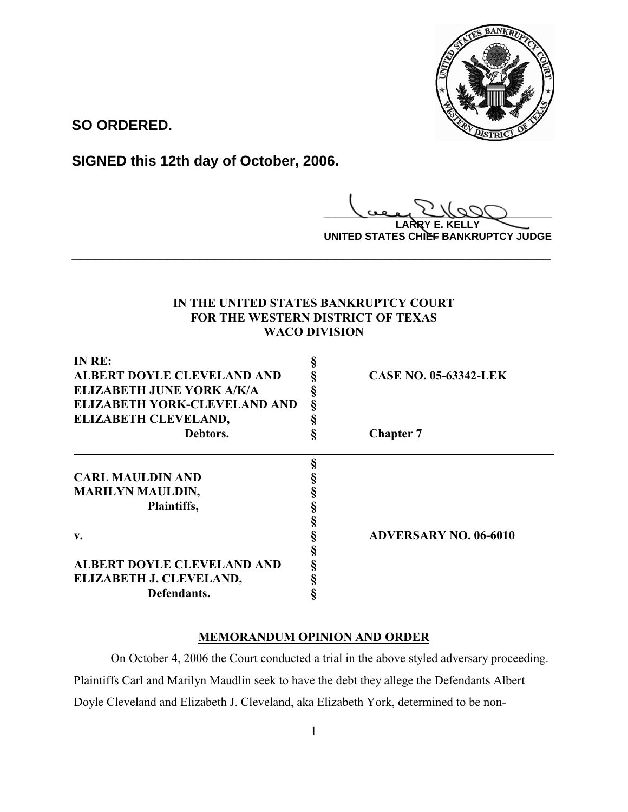

**SO ORDERED.**

**SIGNED this 12th day of October, 2006.**

**\_\_\_\_\_\_\_\_\_\_\_\_\_\_\_\_\_\_\_\_\_\_\_\_\_\_\_\_\_\_\_\_\_\_\_\_\_\_\_\_**

**LARRY E. KELLY UNITED STATES CHIEF BANKRUPTCY JUDGE**

# **IN THE UNITED STATES BANKRUPTCY COURT FOR THE WESTERN DISTRICT OF TEXAS WACO DIVISION**

**\_\_\_\_\_\_\_\_\_\_\_\_\_\_\_\_\_\_\_\_\_\_\_\_\_\_\_\_\_\_\_\_\_\_\_\_\_\_\_\_\_\_\_\_\_\_\_\_\_\_\_\_\_\_\_\_\_\_\_\_**

| IN RE:                            |   |                              |
|-----------------------------------|---|------------------------------|
| <b>ALBERT DOYLE CLEVELAND AND</b> |   | <b>CASE NO. 05-63342-LEK</b> |
| <b>ELIZABETH JUNE YORK A/K/A</b>  |   |                              |
| ELIZABETH YORK-CLEVELAND AND      | ş |                              |
| ELIZABETH CLEVELAND,              |   |                              |
| Debtors.                          |   | <b>Chapter 7</b>             |
|                                   |   |                              |
| <b>CARL MAULDIN AND</b>           |   |                              |
| <b>MARILYN MAULDIN,</b>           |   |                              |
| Plaintiffs,                       |   |                              |
|                                   |   |                              |
| v.                                |   | <b>ADVERSARY NO. 06-6010</b> |
|                                   |   |                              |
| ALBERT DOYLE CLEVELAND AND        |   |                              |
| ELIZABETH J. CLEVELAND,           |   |                              |
| Defendants.                       |   |                              |

# **MEMORANDUM OPINION AND ORDER**

On October 4, 2006 the Court conducted a trial in the above styled adversary proceeding. Plaintiffs Carl and Marilyn Maudlin seek to have the debt they allege the Defendants Albert Doyle Cleveland and Elizabeth J. Cleveland, aka Elizabeth York, determined to be non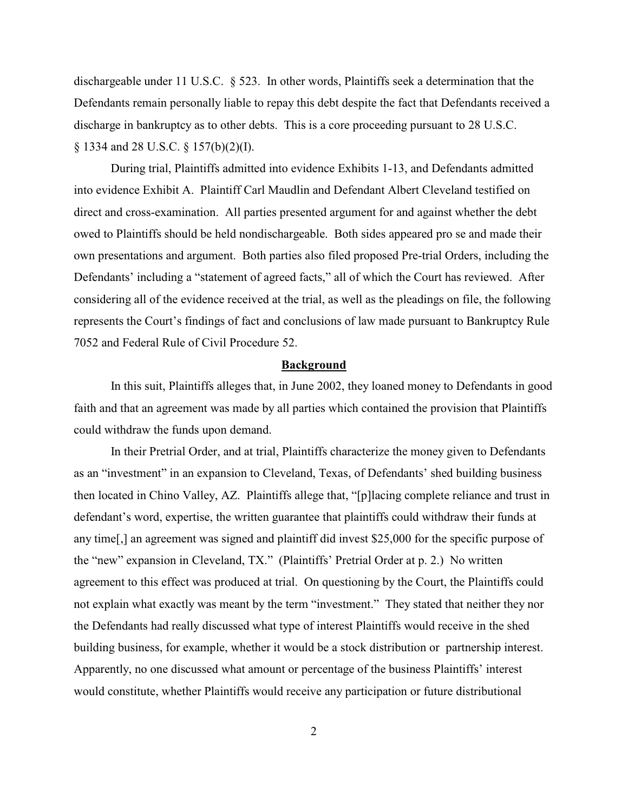dischargeable under 11 U.S.C. § 523. In other words, Plaintiffs seek a determination that the Defendants remain personally liable to repay this debt despite the fact that Defendants received a discharge in bankruptcy as to other debts. This is a core proceeding pursuant to 28 U.S.C. § 1334 and 28 U.S.C. § 157(b)(2)(I).

During trial, Plaintiffs admitted into evidence Exhibits 1-13, and Defendants admitted into evidence Exhibit A. Plaintiff Carl Maudlin and Defendant Albert Cleveland testified on direct and cross-examination. All parties presented argument for and against whether the debt owed to Plaintiffs should be held nondischargeable. Both sides appeared pro se and made their own presentations and argument. Both parties also filed proposed Pre-trial Orders, including the Defendants' including a "statement of agreed facts," all of which the Court has reviewed. After considering all of the evidence received at the trial, as well as the pleadings on file, the following represents the Court's findings of fact and conclusions of law made pursuant to Bankruptcy Rule 7052 and Federal Rule of Civil Procedure 52.

#### **Background**

In this suit, Plaintiffs alleges that, in June 2002, they loaned money to Defendants in good faith and that an agreement was made by all parties which contained the provision that Plaintiffs could withdraw the funds upon demand.

In their Pretrial Order, and at trial, Plaintiffs characterize the money given to Defendants as an "investment" in an expansion to Cleveland, Texas, of Defendants' shed building business then located in Chino Valley, AZ. Plaintiffs allege that, "[p]lacing complete reliance and trust in defendant's word, expertise, the written guarantee that plaintiffs could withdraw their funds at any time[,] an agreement was signed and plaintiff did invest \$25,000 for the specific purpose of the "new" expansion in Cleveland, TX." (Plaintiffs' Pretrial Order at p. 2.) No written agreement to this effect was produced at trial. On questioning by the Court, the Plaintiffs could not explain what exactly was meant by the term "investment." They stated that neither they nor the Defendants had really discussed what type of interest Plaintiffs would receive in the shed building business, for example, whether it would be a stock distribution or partnership interest. Apparently, no one discussed what amount or percentage of the business Plaintiffs' interest would constitute, whether Plaintiffs would receive any participation or future distributional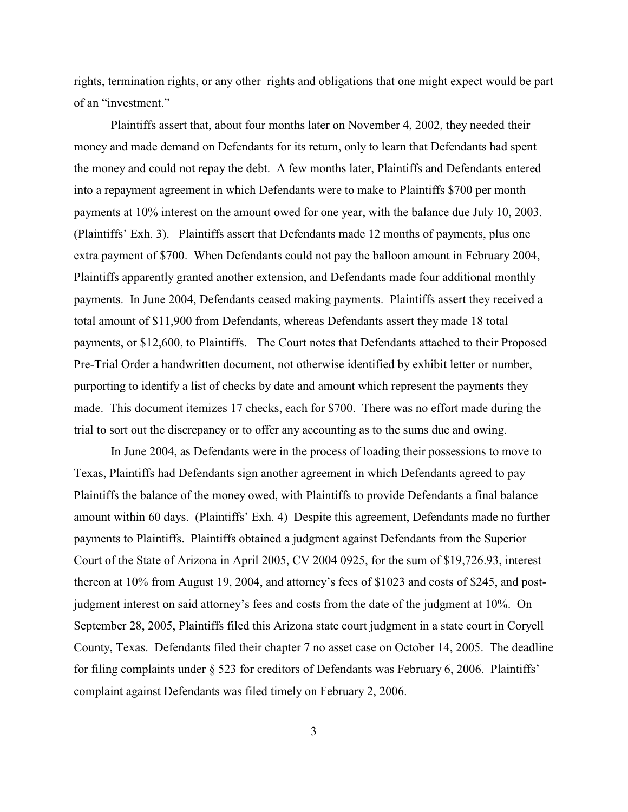rights, termination rights, or any other rights and obligations that one might expect would be part of an "investment."

Plaintiffs assert that, about four months later on November 4, 2002, they needed their money and made demand on Defendants for its return, only to learn that Defendants had spent the money and could not repay the debt. A few months later, Plaintiffs and Defendants entered into a repayment agreement in which Defendants were to make to Plaintiffs \$700 per month payments at 10% interest on the amount owed for one year, with the balance due July 10, 2003. (Plaintiffs' Exh. 3). Plaintiffs assert that Defendants made 12 months of payments, plus one extra payment of \$700. When Defendants could not pay the balloon amount in February 2004, Plaintiffs apparently granted another extension, and Defendants made four additional monthly payments. In June 2004, Defendants ceased making payments. Plaintiffs assert they received a total amount of \$11,900 from Defendants, whereas Defendants assert they made 18 total payments, or \$12,600, to Plaintiffs. The Court notes that Defendants attached to their Proposed Pre-Trial Order a handwritten document, not otherwise identified by exhibit letter or number, purporting to identify a list of checks by date and amount which represent the payments they made. This document itemizes 17 checks, each for \$700. There was no effort made during the trial to sort out the discrepancy or to offer any accounting as to the sums due and owing.

In June 2004, as Defendants were in the process of loading their possessions to move to Texas, Plaintiffs had Defendants sign another agreement in which Defendants agreed to pay Plaintiffs the balance of the money owed, with Plaintiffs to provide Defendants a final balance amount within 60 days. (Plaintiffs' Exh. 4) Despite this agreement, Defendants made no further payments to Plaintiffs. Plaintiffs obtained a judgment against Defendants from the Superior Court of the State of Arizona in April 2005, CV 2004 0925, for the sum of \$19,726.93, interest thereon at 10% from August 19, 2004, and attorney's fees of \$1023 and costs of \$245, and postjudgment interest on said attorney's fees and costs from the date of the judgment at 10%. On September 28, 2005, Plaintiffs filed this Arizona state court judgment in a state court in Coryell County, Texas. Defendants filed their chapter 7 no asset case on October 14, 2005. The deadline for filing complaints under § 523 for creditors of Defendants was February 6, 2006. Plaintiffs' complaint against Defendants was filed timely on February 2, 2006.

3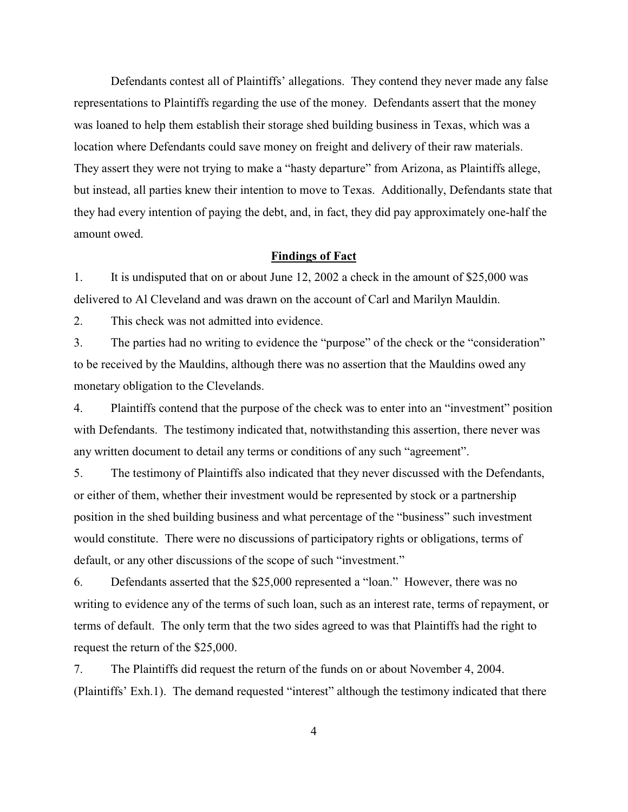Defendants contest all of Plaintiffs' allegations. They contend they never made any false representations to Plaintiffs regarding the use of the money. Defendants assert that the money was loaned to help them establish their storage shed building business in Texas, which was a location where Defendants could save money on freight and delivery of their raw materials. They assert they were not trying to make a "hasty departure" from Arizona, as Plaintiffs allege, but instead, all parties knew their intention to move to Texas. Additionally, Defendants state that they had every intention of paying the debt, and, in fact, they did pay approximately one-half the amount owed.

### **Findings of Fact**

1. It is undisputed that on or about June 12, 2002 a check in the amount of \$25,000 was delivered to Al Cleveland and was drawn on the account of Carl and Marilyn Mauldin.

2. This check was not admitted into evidence.

3. The parties had no writing to evidence the "purpose" of the check or the "consideration" to be received by the Mauldins, although there was no assertion that the Mauldins owed any monetary obligation to the Clevelands.

4. Plaintiffs contend that the purpose of the check was to enter into an "investment" position with Defendants. The testimony indicated that, notwithstanding this assertion, there never was any written document to detail any terms or conditions of any such "agreement".

5. The testimony of Plaintiffs also indicated that they never discussed with the Defendants, or either of them, whether their investment would be represented by stock or a partnership position in the shed building business and what percentage of the "business" such investment would constitute. There were no discussions of participatory rights or obligations, terms of default, or any other discussions of the scope of such "investment."

6. Defendants asserted that the \$25,000 represented a "loan." However, there was no writing to evidence any of the terms of such loan, such as an interest rate, terms of repayment, or terms of default. The only term that the two sides agreed to was that Plaintiffs had the right to request the return of the \$25,000.

7. The Plaintiffs did request the return of the funds on or about November 4, 2004. (Plaintiffs' Exh.1). The demand requested "interest" although the testimony indicated that there

4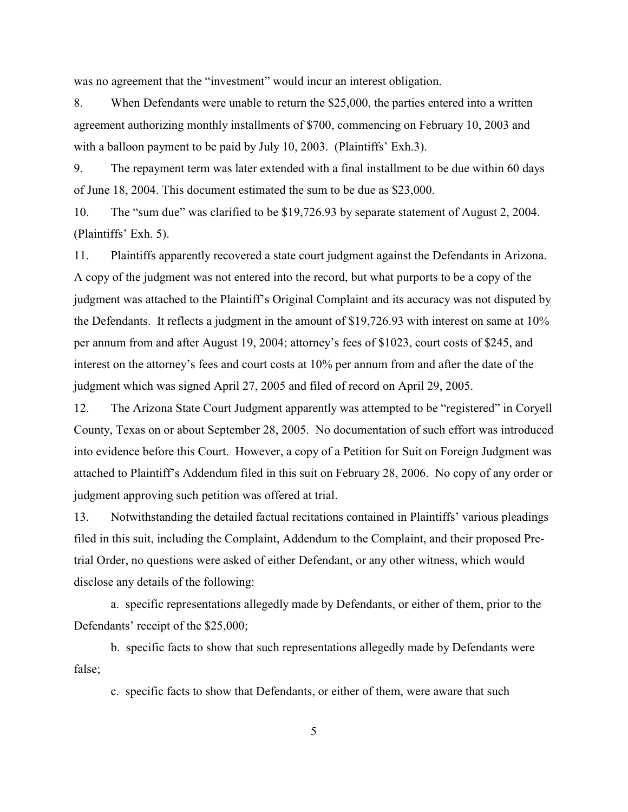was no agreement that the "investment" would incur an interest obligation.

8. When Defendants were unable to return the \$25,000, the parties entered into a written agreement authorizing monthly installments of \$700, commencing on February 10, 2003 and with a balloon payment to be paid by July 10, 2003. (Plaintiffs' Exh.3).

9. The repayment term was later extended with a final installment to be due within 60 days of June 18, 2004. This document estimated the sum to be due as \$23,000.

10. The "sum due" was clarified to be \$19,726.93 by separate statement of August 2, 2004. (Plaintiffs' Exh. 5).

11. Plaintiffs apparently recovered a state court judgment against the Defendants in Arizona. A copy of the judgment was not entered into the record, but what purports to be a copy of the judgment was attached to the Plaintiff's Original Complaint and its accuracy was not disputed by the Defendants. It reflects a judgment in the amount of \$19,726.93 with interest on same at 10% per annum from and after August 19, 2004; attorney's fees of \$1023, court costs of \$245, and interest on the attorney's fees and court costs at 10% per annum from and after the date of the judgment which was signed April 27, 2005 and filed of record on April 29, 2005.

12. The Arizona State Court Judgment apparently was attempted to be "registered" in Coryell County, Texas on or about September 28, 2005. No documentation of such effort was introduced into evidence before this Court. However, a copy of a Petition for Suit on Foreign Judgment was attached to Plaintiff's Addendum filed in this suit on February 28, 2006. No copy of any order or judgment approving such petition was offered at trial.

13. Notwithstanding the detailed factual recitations contained in Plaintiffs' various pleadings filed in this suit, including the Complaint, Addendum to the Complaint, and their proposed Pretrial Order, no questions were asked of either Defendant, or any other witness, which would disclose any details of the following:

a. specific representations allegedly made by Defendants, or either of them, prior to the Defendants' receipt of the \$25,000;

b. specific facts to show that such representations allegedly made by Defendants were false;

c. specific facts to show that Defendants, or either of them, were aware that such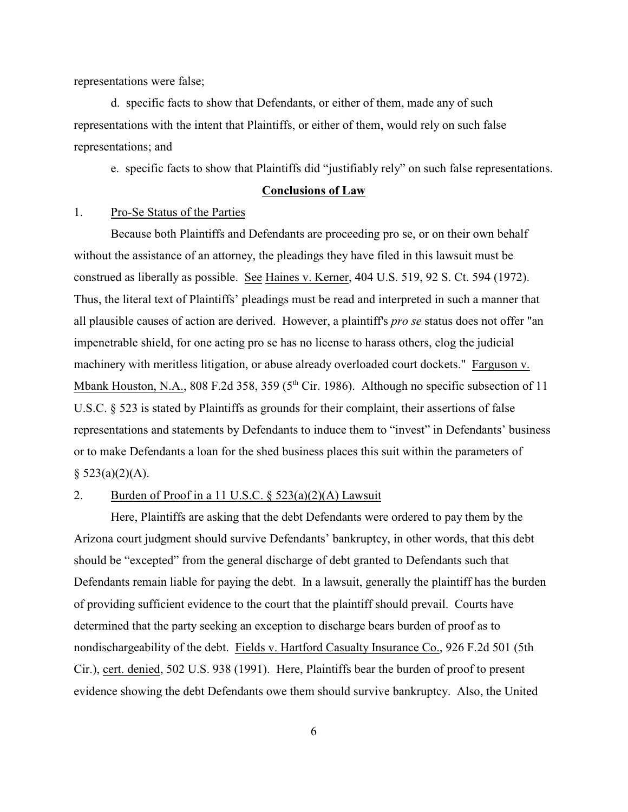representations were false;

d. specific facts to show that Defendants, or either of them, made any of such representations with the intent that Plaintiffs, or either of them, would rely on such false representations; and

e. specific facts to show that Plaintiffs did "justifiably rely" on such false representations.

## **Conclusions of Law**

1. Pro-Se Status of the Parties

Because both Plaintiffs and Defendants are proceeding pro se, or on their own behalf without the assistance of an attorney, the pleadings they have filed in this lawsuit must be construed as liberally as possible. See Haines v. Kerner, 404 U.S. 519, 92 S. Ct. 594 (1972). Thus, the literal text of Plaintiffs' pleadings must be read and interpreted in such a manner that all plausible causes of action are derived. However, a plaintiff's *pro se* status does not offer "an impenetrable shield, for one acting pro se has no license to harass others, clog the judicial machinery with meritless litigation, or abuse already overloaded court dockets." Farguson v. Mbank Houston, N.A., 808 F.2d 358, 359 ( $5<sup>th</sup>$  Cir. 1986). Although no specific subsection of 11 U.S.C. § 523 is stated by Plaintiffs as grounds for their complaint, their assertions of false representations and statements by Defendants to induce them to "invest" in Defendants' business or to make Defendants a loan for the shed business places this suit within the parameters of  $§$  523(a)(2)(A).

## 2. Burden of Proof in a 11 U.S.C.  $\S$  523(a)(2)(A) Lawsuit

Here, Plaintiffs are asking that the debt Defendants were ordered to pay them by the Arizona court judgment should survive Defendants' bankruptcy, in other words, that this debt should be "excepted" from the general discharge of debt granted to Defendants such that Defendants remain liable for paying the debt. In a lawsuit, generally the plaintiff has the burden of providing sufficient evidence to the court that the plaintiff should prevail. Courts have determined that the party seeking an exception to discharge bears burden of proof as to nondischargeability of the debt. Fields v. Hartford Casualty Insurance Co., 926 F.2d 501 (5th Cir.), cert. denied, 502 U.S. 938 (1991). Here, Plaintiffs bear the burden of proof to present evidence showing the debt Defendants owe them should survive bankruptcy. Also, the United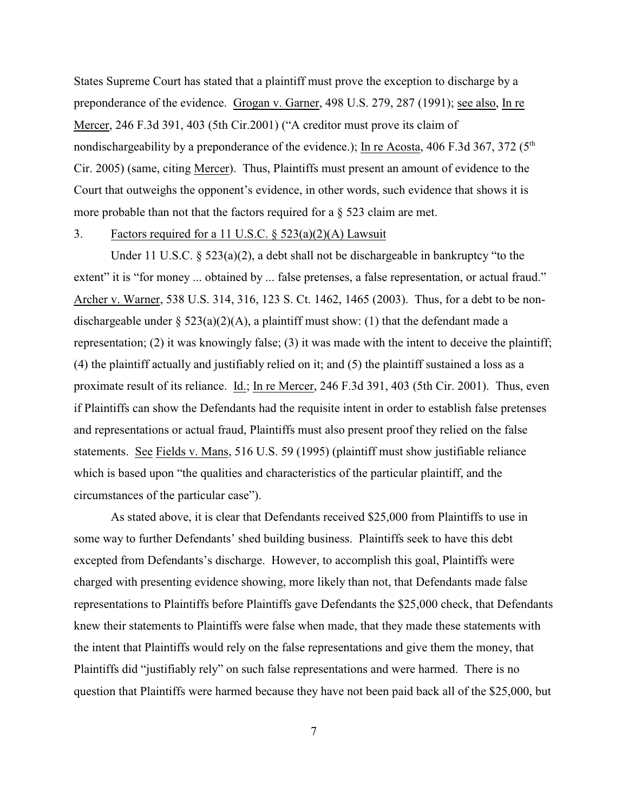States Supreme Court has stated that a plaintiff must prove the exception to discharge by a preponderance of the evidence. Grogan v. Garner, 498 U.S. 279, 287 (1991); see also, In re Mercer, 246 F.3d 391, 403 (5th Cir.2001) ("A creditor must prove its claim of nondischargeability by a preponderance of the evidence.); In re Acosta, 406 F.3d 367, 372 ( $5<sup>th</sup>$ Cir. 2005) (same, citing Mercer). Thus, Plaintiffs must present an amount of evidence to the Court that outweighs the opponent's evidence, in other words, such evidence that shows it is more probable than not that the factors required for a  $\S$  523 claim are met.

### 3. Factors required for a 11 U.S.C. § 523(a)(2)(A) Lawsuit

Under 11 U.S.C.  $\S 523(a)(2)$ , a debt shall not be dischargeable in bankruptcy "to the extent" it is "for money ... obtained by ... false pretenses, a false representation, or actual fraud." Archer v. Warner, 538 U.S. 314, 316, 123 S. Ct. 1462, 1465 (2003). Thus, for a debt to be nondischargeable under § 523(a)(2)(A), a plaintiff must show: (1) that the defendant made a representation; (2) it was knowingly false; (3) it was made with the intent to deceive the plaintiff; (4) the plaintiff actually and justifiably relied on it; and (5) the plaintiff sustained a loss as a proximate result of its reliance. Id.; In re Mercer, 246 F.3d 391, 403 (5th Cir. 2001). Thus, even if Plaintiffs can show the Defendants had the requisite intent in order to establish false pretenses and representations or actual fraud, Plaintiffs must also present proof they relied on the false statements. See Fields v. Mans, 516 U.S. 59 (1995) (plaintiff must show justifiable reliance which is based upon "the qualities and characteristics of the particular plaintiff, and the circumstances of the particular case").

As stated above, it is clear that Defendants received \$25,000 from Plaintiffs to use in some way to further Defendants' shed building business. Plaintiffs seek to have this debt excepted from Defendants's discharge. However, to accomplish this goal, Plaintiffs were charged with presenting evidence showing, more likely than not, that Defendants made false representations to Plaintiffs before Plaintiffs gave Defendants the \$25,000 check, that Defendants knew their statements to Plaintiffs were false when made, that they made these statements with the intent that Plaintiffs would rely on the false representations and give them the money, that Plaintiffs did "justifiably rely" on such false representations and were harmed. There is no question that Plaintiffs were harmed because they have not been paid back all of the \$25,000, but